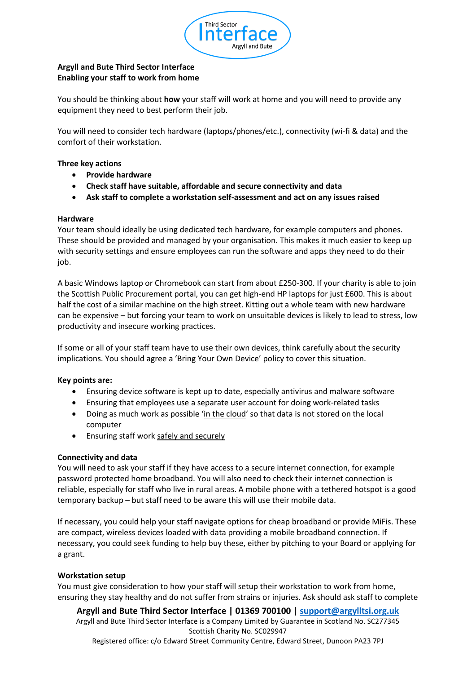

# **Argyll and Bute Third Sector Interface Enabling your staff to work from home**

You should be thinking about **how** your staff will work at home and you will need to provide any equipment they need to best perform their job.

You will need to consider tech hardware (laptops/phones/etc.), connectivity (wi-fi & data) and the comfort of their workstation.

### **Three key actions**

- **Provide hardware**
- **Check staff have suitable, affordable and secure connectivity and data**
- **Ask staff to complete a workstation self-assessment and act on any issues raised**

### **Hardware**

Your team should ideally be using dedicated tech hardware, for example computers and phones. These should be provided and managed by your organisation. This makes it much easier to keep up with security settings and ensure employees can run the software and apps they need to do their job.

A basic Windows laptop or Chromebook can start from about £250-300. If your charity is able to join the Scottish Public Procurement portal, you can get high-end HP laptops for just £600. This is about half the cost of a similar machine on the high street. Kitting out a whole team with new hardware can be expensive – but forcing your team to work on unsuitable devices is likely to lead to stress, low productivity and insecure working practices.

If some or all of your staff team have to use their own devices, think carefully about the security implications. You should agree a 'Bring Your Own Device' policy to cover this situation.

### **Key points are:**

- Ensuring device software is kept up to date, especially antivirus and malware software
- Ensuring that employees use a separate user account for doing work-related tasks
- Doing as much work as possible '[in the cloud](https://scvo.org.uk/support/digital/guides/remote-working/work-in-the-cloud/)' so that data is not stored on the local computer
- Ensuring staff wor[k safely and securely](https://scvo.org.uk/support/digital/guides/remote-working/cyber-security/)

### **Connectivity and data**

You will need to ask your staff if they have access to a secure internet connection, for example password protected home broadband. You will also need to check their internet connection is reliable, especially for staff who live in rural areas. A mobile phone with a tethered hotspot is a good temporary backup – but staff need to be aware this will use their mobile data.

If necessary, you could help your staff navigate options for cheap broadband or provide MiFis. These are compact, wireless devices loaded with data providing a mobile broadband connection. If necessary, you could seek funding to help buy these, either by pitching to your Board or applying for a grant.

### **Workstation setup**

You must give consideration to how your staff will setup their workstation to work from home, ensuring they stay healthy and do not suffer from strains or injuries. Ask should ask staff to complete

**Argyll and Bute Third Sector Interface | 01369 700100 | [support@argylltsi.org.uk](mailto:support@argylltsi.org.uk)**

Argyll and Bute Third Sector Interface is a Company Limited by Guarantee in Scotland No. SC277345 Scottish Charity No. SC029947

Registered office: c/o Edward Street Community Centre, Edward Street, Dunoon PA23 7PJ